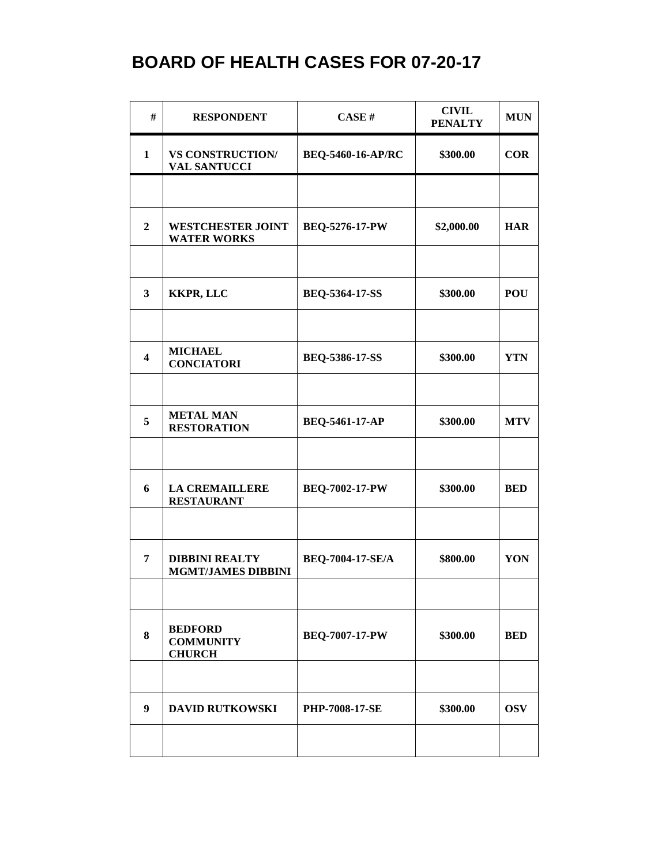| #                       | <b>RESPONDENT</b>                                   | CASE#                    | <b>CIVIL</b><br><b>PENALTY</b> | <b>MUN</b> |
|-------------------------|-----------------------------------------------------|--------------------------|--------------------------------|------------|
| $\mathbf{1}$            | <b>VS CONSTRUCTION/</b><br><b>VAL SANTUCCI</b>      | <b>BEQ-5460-16-AP/RC</b> | \$300.00                       | <b>COR</b> |
|                         |                                                     |                          |                                |            |
| $\overline{2}$          | <b>WESTCHESTER JOINT</b><br><b>WATER WORKS</b>      | <b>BEQ-5276-17-PW</b>    | \$2,000.00                     | <b>HAR</b> |
|                         |                                                     |                          |                                |            |
| $\overline{\mathbf{3}}$ | <b>KKPR, LLC</b>                                    | <b>BEQ-5364-17-SS</b>    | \$300.00                       | <b>POU</b> |
|                         |                                                     |                          |                                |            |
| $\overline{\mathbf{4}}$ | <b>MICHAEL</b><br><b>CONCIATORI</b>                 | <b>BEQ-5386-17-SS</b>    | \$300.00                       | <b>YTN</b> |
|                         |                                                     |                          |                                |            |
| 5                       | <b>METAL MAN</b><br><b>RESTORATION</b>              | <b>BEQ-5461-17-AP</b>    | \$300.00                       | <b>MTV</b> |
|                         |                                                     |                          |                                |            |
| 6                       | <b>LA CREMAILLERE</b><br><b>RESTAURANT</b>          | <b>BEQ-7002-17-PW</b>    | \$300.00                       | <b>BED</b> |
|                         |                                                     |                          |                                |            |
| 7                       | <b>DIBBINI REALTY</b><br><b>MGMT/JAMES DIBBINI</b>  | BEQ-7004-17-SE/A         | \$800.00                       | YON        |
|                         |                                                     |                          |                                |            |
| 8                       | <b>BEDFORD</b><br><b>COMMUNITY</b><br><b>CHURCH</b> | <b>BEQ-7007-17-PW</b>    | \$300.00                       | <b>BED</b> |
|                         |                                                     |                          |                                |            |
| 9                       | <b>DAVID RUTKOWSKI</b>                              | <b>PHP-7008-17-SE</b>    | \$300.00                       | <b>OSV</b> |
|                         |                                                     |                          |                                |            |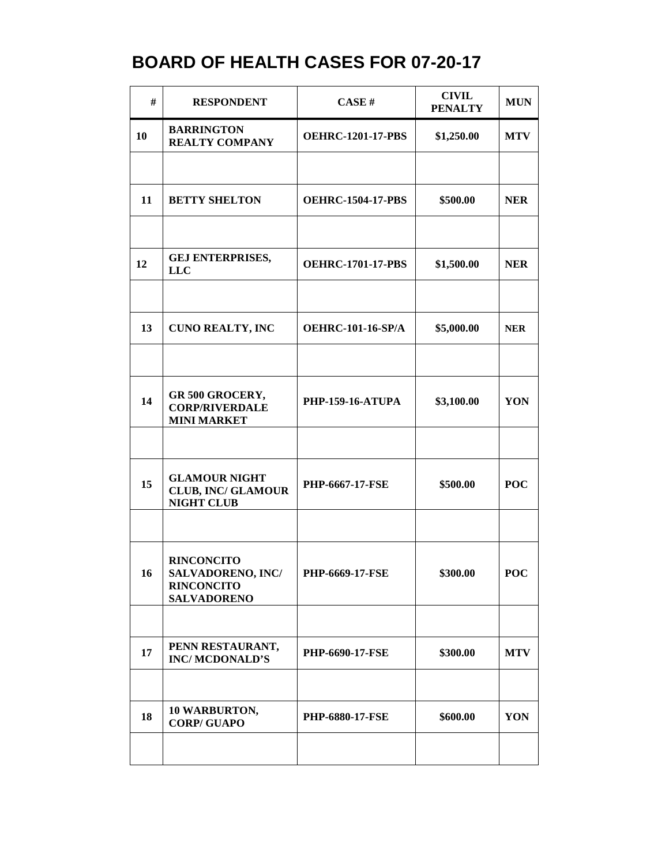| #  | <b>RESPONDENT</b>                                                                        | CASE#                    | <b>CIVIL</b><br><b>PENALTY</b> | <b>MUN</b> |
|----|------------------------------------------------------------------------------------------|--------------------------|--------------------------------|------------|
| 10 | <b>BARRINGTON</b><br><b>REALTY COMPANY</b>                                               | <b>OEHRC-1201-17-PBS</b> | \$1,250.00                     | <b>MTV</b> |
|    |                                                                                          |                          |                                |            |
| 11 | <b>BETTY SHELTON</b>                                                                     | <b>OEHRC-1504-17-PBS</b> | \$500.00                       | <b>NER</b> |
|    |                                                                                          |                          |                                |            |
| 12 | <b>GEJ ENTERPRISES,</b><br><b>LLC</b>                                                    | <b>OEHRC-1701-17-PBS</b> | \$1,500.00                     | <b>NER</b> |
|    |                                                                                          |                          |                                |            |
| 13 | <b>CUNO REALTY, INC</b>                                                                  | <b>OEHRC-101-16-SP/A</b> | \$5,000.00                     | <b>NER</b> |
|    |                                                                                          |                          |                                |            |
| 14 | GR 500 GROCERY,<br><b>CORP/RIVERDALE</b><br><b>MINI MARKET</b>                           | <b>PHP-159-16-ATUPA</b>  | \$3,100.00                     | YON        |
|    |                                                                                          |                          |                                |            |
| 15 | <b>GLAMOUR NIGHT</b><br><b>CLUB, INC/ GLAMOUR</b><br><b>NIGHT CLUB</b>                   | PHP-6667-17-FSE          | \$500.00                       | <b>POC</b> |
|    |                                                                                          |                          |                                |            |
| 16 | <b>RINCONCITO</b><br><b>SALVADORENO, INC/</b><br><b>RINCONCITO</b><br><b>SALVADORENO</b> | <b>PHP-6669-17-FSE</b>   | \$300.00                       | <b>POC</b> |
|    |                                                                                          |                          |                                |            |
| 17 | PENN RESTAURANT,<br><b>INC/MCDONALD'S</b>                                                | <b>PHP-6690-17-FSE</b>   | \$300.00                       | <b>MTV</b> |
|    |                                                                                          |                          |                                |            |
| 18 | 10 WARBURTON,<br><b>CORP/GUAPO</b>                                                       | <b>PHP-6880-17-FSE</b>   | \$600.00                       | YON        |
|    |                                                                                          |                          |                                |            |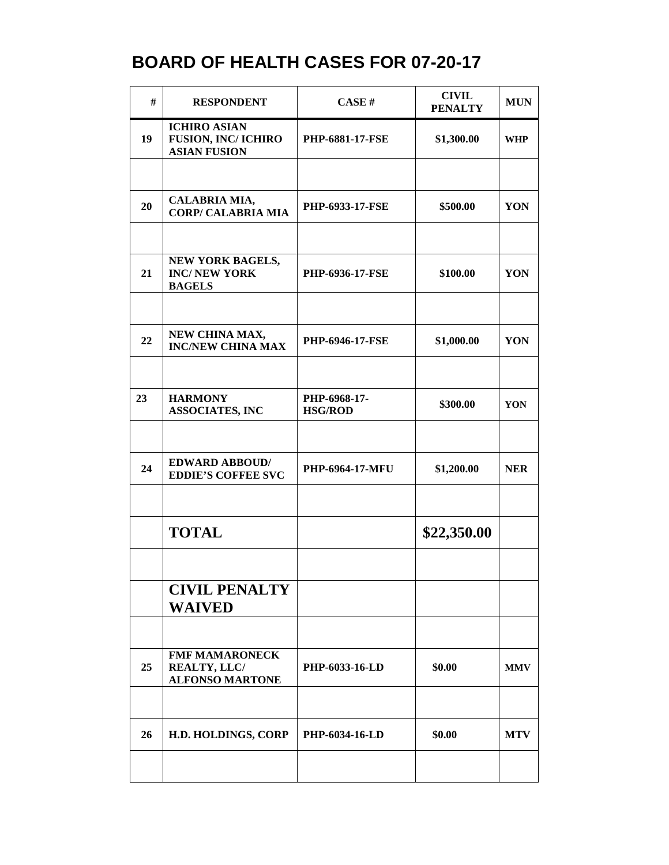| #  | <b>RESPONDENT</b>                                                       | CASE#                  | <b>CIVIL</b><br><b>PENALTY</b> | <b>MUN</b> |
|----|-------------------------------------------------------------------------|------------------------|--------------------------------|------------|
| 19 | <b>ICHIRO ASIAN</b><br><b>FUSION, INC/ICHIRO</b><br><b>ASIAN FUSION</b> | <b>PHP-6881-17-FSE</b> | \$1,300.00                     | <b>WHP</b> |
|    |                                                                         |                        |                                |            |
| 20 | CALABRIA MIA,<br><b>CORP/ CALABRIA MIA</b>                              | <b>PHP-6933-17-FSE</b> | \$500.00                       | YON        |
|    |                                                                         |                        |                                |            |
| 21 | NEW YORK BAGELS,<br><b>INC/NEW YORK</b><br><b>BAGELS</b>                | <b>PHP-6936-17-FSE</b> | \$100.00                       | YON        |
|    |                                                                         |                        |                                |            |
| 22 | NEW CHINA MAX,<br><b>INC/NEW CHINA MAX</b>                              | PHP-6946-17-FSE        | \$1,000.00                     | YON        |
| 23 | <b>HARMONY</b>                                                          | PHP-6968-17-           |                                |            |
|    | <b>ASSOCIATES, INC</b>                                                  | <b>HSG/ROD</b>         | \$300.00                       | YON        |
|    |                                                                         |                        |                                |            |
| 24 | <b>EDWARD ABBOUD/</b><br><b>EDDIE'S COFFEE SVC</b>                      | PHP-6964-17-MFU        | \$1,200.00                     | <b>NER</b> |
|    | <b>TOTAL</b>                                                            |                        | \$22,350.00                    |            |
|    |                                                                         |                        |                                |            |
|    | <b>CIVIL PENALTY</b><br><b>WAIVED</b>                                   |                        |                                |            |
|    |                                                                         |                        |                                |            |
| 25 | <b>FMF MAMARONECK</b><br>REALTY, LLC/<br><b>ALFONSO MARTONE</b>         | PHP-6033-16-LD         | \$0.00                         | <b>MMV</b> |
|    |                                                                         |                        |                                |            |
| 26 | H.D. HOLDINGS, CORP                                                     | <b>PHP-6034-16-LD</b>  | \$0.00                         | <b>MTV</b> |
|    |                                                                         |                        |                                |            |